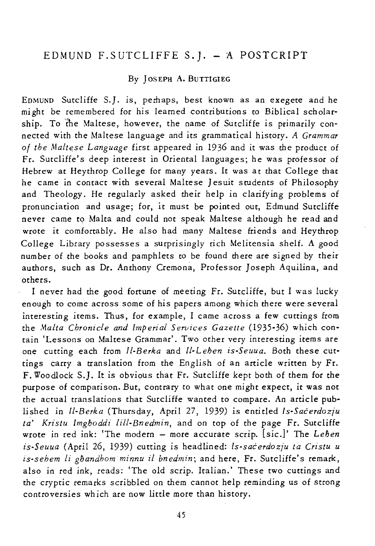# EDMUND F.SUTCLIFFE S.]. - A POSTCRIPT

#### By ]OSEPH A. BUTTIGIEG

EDMUND Sutcliffe S.}. is, perhaps, best known as an exegete and he might be remembered for his learned contributions to Biblical scholarship. To the Maltese, however, the name of Sutcliffe *is* primarily connected with the Maltese language and its grammatical *history. A Grammar of the Malte.se Language* first appeared in 1936 and *it* was the product of Fr. Sutcliffe's deep interest in Oriental languages; he was professor of Hebrew at Heythrop College for many years. It was at that College that he came in contact with several Maltese Jesuit students of Philosophy and Theology. He regularly asked their help in clarifying problems of pronunciation and usage; for, *it* must be pointed out, Edmund Sutcliffe never came to. Malta and could not speak Maltese although he read and wrote it comfortably. He also had many Maltese friends and Heythrop College Library possesses a surprisingly rich Melitensia shelf. A good number of the books and pamphlets to be found there are signed by their authors, such as Dr. Anthony Cremona, Professor ]oseph Aquilina, and others.

I never had the good fortune of meeting Fr. Sutcliffe, but I was lucky enough to come across some of *his* papers among *which* there were several interesting *items.* Thus, for example, I came across a few cuttings from the *Malta Chronicle and Imperial Services Gazette* (1935-36) *which* contain 'Lessons on Maltese Grammar'. Two other very interesting items are one cutting each from *ll-Berka* and *ll-Lehen is-Seuua.* Both these cuttings carry a translation from the English of an article written by Fr. F. Woodlock S.]. It *is* obvious that Fr. Sutcliffe kept both of them for the purpose of comparison. But, contrary to what one *might* expect, *it* was not the actual translations that Sutcliffe wanted to compare. An article published in *ll-Berka* (Thursday, April 27, 1939) *is* entitled *Is-Sacerdozju ta' Kristu Imghoddi lill-Bnedmin,* and on top of the page Fr. Sutcliffe wrote in red ink: 'The modern - more accurate scrip. [sic,]' The *Lehen is-Seuua* (April 26, 1939) cutting is headlined: *Is-sacerdozju ta Cristu u is-sehem* li *ghandhom minnu il bnedmin;* and here, Fr. Sutcliffe's remark, also in red ink, reads: 'The old scrip. Italian.' These two cuttings and the cryptic remarks scribbled on them cannot help reminding us of strong controversies wh ich are now little more than history.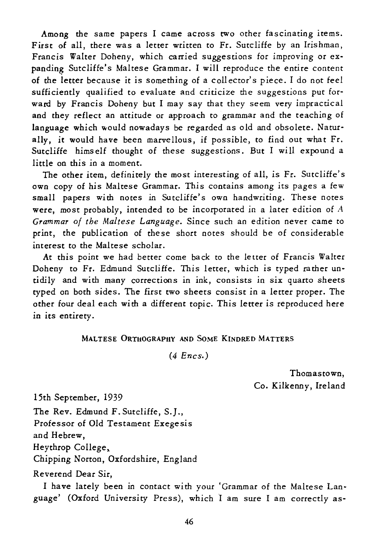Among the same papers I came across two other fascinating items. First of all, there was a letter written to Fr. Sutcliffe by an Irishman, Francis Walter Doheny, which carried suggestions for improving or expanding Sutcliffe's Maltese Grammar. I will reproduce the entire content of the letter because it is something of a collector's piece. I do not feel sufficiently qualified to evaluate and criticize the suggestions put forward by Francis Doheny but I may say that they seem very impractical and they reflect an attitude or approach to grammar and the teaching of language which would nowadays be regarded as old and obsolete. Naturally, *it* would have been marvellous, if possible, to find out what Fr. *Sutcliffe* himself thought of these suggestions. But I *will* expound a little on this in a moment.

The other *item,* definitely the most interesting of all, *is* Fr. Sutcliffe's own copy of his Maltese Grammar. This contains among *its* pages a few small papers *with* notes in Sutcliffe's own handwriting. These notes were, most probably, intended to be incorporated in a later edition of A *Grammar of the Maltese Language.* Since such an *edition* never came to print, the publication of these short notes should be of considerable interest to the Maltese scholar.

At this point we had better come back to the letter of Francis Waiter Doheny to Fr. Edmund Sutcliffe. This letter, which is typed rather un*tidily* and with many corrections in ink, consists *in six* quarto sheets typed on both sides. The first two sheets consist in a letter proper. The other four deal each *wi* th a different topic. This lerter *is* reproduced here in *its* entirety.

### MALTESE ORTHOGRAPHY AND SOME KINDRED MATTERS

(4 *Encs.)* 

Thomastown, Co. Kilkenny, Ireland

15th September, 1939

The Rev. Edmund F. Sutcliffe, S.J.,

Professor of Old Testament Exegesis

and Hebrew,

Heythrop College.

Chipping Norton, Oxfordshire, England

Reverend Dear Sir,

I have lately been in contact with your 'Grammar of the Maltese Language' (Oxford University Press), which I am sure I am correctly as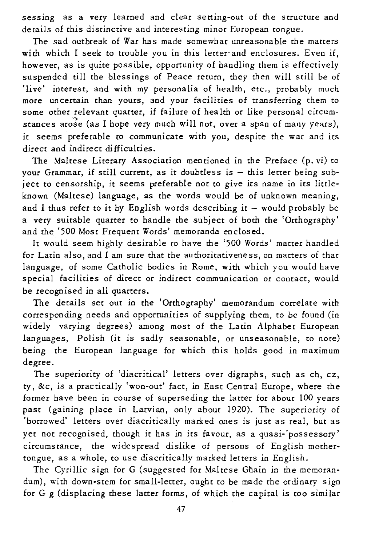*sessing* as a very learned and clear setting-out of the structure and details of this distinctive and interesting minor European tongue.

The sad outbreak of War has made somewhat unreasonable the matters with which I seek to trouble you in this letter and enclosures. Even if, however, as *is* quite possible, opportunity of handling them *is* effectively suspended till the blessings of Peace return, they then will still be of 'live' interest, and with my personalia of health, etc., probably much more uncertain than yours, and your facilities of transferring them to some other relevant quarter, *if* failure of hea lth or like personal circumstances arose (as I hope very much will not, over a span of many years), *it* seems preferable to communicate with you, despite the war and its direct and indirect difficulties.

The Maltese Literary Association mentioned *in* the Preface (p. *vi)* to your Grammar, *if* still current, as *it* doubtless *is* - this letter being subject to censorship, it seems preferable not to give *its* name in *its* littleknown (Maltese) language, as the words would be of unknown meaning, and I thus refer to it by English words describing it  $-$  would probably be a very suitable quarter to handle the subject of both the 'Orthography' and the '500 Most Frequent Words' memoranda enclosed.

It would seem highly desirable to have the '500 Words' matter handled for Latin also, and I am sure that the authoritativeness, on matters of that language, of some Catholic bodies in Rome, with which you would have special facilities of direct or indirect communication or contact, would be recognised in all quarters.

The details set out in the 'Orthography' memorandum correlate with corresponding needs and opportunities of supplying them, to be found (in widely varying degrees) among most of the Latin Alphabet European languages, Polish *(it* is sadly seasonable, or unseasonable, to note) being the European language for which this holds good in maximum degree.

The superiority of 'diacritical' letters over digraphs, such as ch, CZ, ty, &c, is a practically 'won-out' fact, in East Central Europe, where the former have been in course of superseding the latter for about 100 years past (gaining place in Latvian, only about 1920). The superiority of 'borrowed' letters over diacritically marked ones is just as real, but as yet not recognised, though it has in its favour, as a quasi-'possessory' circumstance, the widespread dislike of persons of English mothertongue, as a whole, to use diacritically marked letters in English.

The Cyrillic sign for G (suggested for Maltese Ghain in the memorandum), with down-stem for small-letter, ought to be made the ordinary sign for G g (displacing these latter forms, of which the capital *is* too similar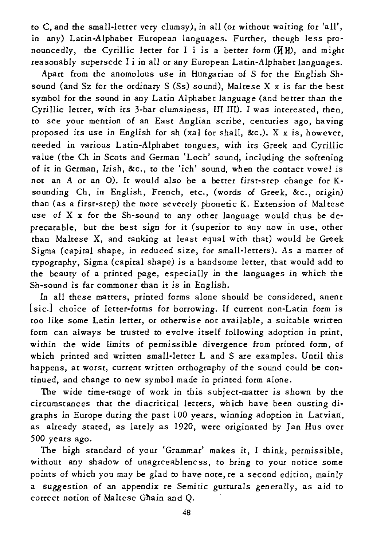to C, and the small-letter very clumsy), in all (or without waiting for 'all', in any) Latin-Alphabet European languages. Further, though less pronouncedly, the Cyrillic letter for I i is a better form ( $\texttt{H}$  H), and might reasonably supersede I i in all or any European Latin-Alphabet languages.

Apart from the anomolous use in Hungarian of S for the English Shsound (and Sz for the ordinary S (Ss) sound), Maltese X x *is* far the best symbol for the sound *in* any Latin Alphabet language (and better than the Cyrillic letter, with its 3-bar clumsiness, III IlI). I was interested, then, to see your mention of an East Anglian scribe, centuries ago, having proposed its use in English for sh (xal for shall, &c.). X x is, however, needed *in* various Latin-Alphabet tongues, with its Greek and *Cyrillic*  value (the Ch in Scots and German 'Loch' sound, including the softening of it in German, Irish, &c., to the 'ich' sound, when the contact vowel *is*  not an A or an 0). It would also be a better first-step change for Ksounding Ch, in English, French, etc., (words of Greek, &c., *origin)*  than (as a first-step) the more severely phonetic K. Extension of Maltese use of X x for the Sh-sound to any other language would thus be deprecatable, but the best sign for *it* (superior to any now in use, other than Maltese X, and ranking at least equal with that) would be Greek *Sigma* (capital shape, *in* reduced *size,* for small-letters). As a matter of typography, Sigma (capital shape) is a handsome letter, that would add to the beaury of a printed page, especially in the languages in which the Sh-sound is far commoner than it is in English.

In all these matters, printed forms alone should be considered, anent *[sic.] choice* of letter-forms for borrowing. If current non-Latin form *is*  too *like* some Latin letter, or otherwise not available, a suitable written form can always be trusted to evolve itself following adoption in print, within the wide limits of permissible divergence from printed form, of which printed and written small-letter L and S are examples. Until this happens, at worst, current written orthography of the sound could be continued, and change to new symbol made in printed form alone.

The wide time-range of work in this subject-matter *is* shown by the circumstances that the diacritical letters, which have been ousting digraphs in Europe during the past *100* years, winning adoption in Latvian, as already stated, as lately as 1920, were originated by Jan Hus over *500* years ago.

The high standard of your 'Grammar' makes it, I think, permissible, *without* any shadow of unagreeableness, to bring to your notice some points of which you may be glad to have note, re a second edition, mainly a suggestion of an appendix re *Semitic* gutturals generally, as aid to correct notion of Maltese Ghain and Q.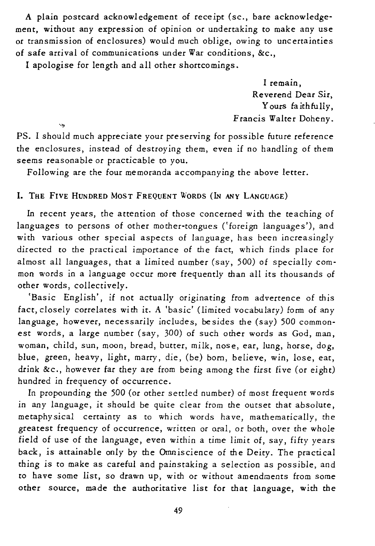A plain postcard acknowledgement of receipt (sc., bare acknowledgement, without any expression of opinion or undertaking to make any use or transmission of enclosures) would much oblige, owing to uncertainties of safe arrival of communications under War conditions, &c.,

I apologise for length and all other shortcomings.

 $\sim$ 

I remain, Reverend Dear *Sir,*  Yours faithfully, Francis WaIter Doheny.

PS. I should much appreciate your preserving for possible future reference the enclosures, instead of destroying them, even if no handling of them seems reasonable or practicable to you.

Following are the four memoranda accompanying the above letter.

# I. THE FIVE HUNDRED MOST FREQUENT WORDS (IN ANY LANGUAGE)

In recent years, the attention of those concerned with the teaching of languages to persons of other mother-tongues ('foreign languages'), and with various other special aspects of language, has been increasingly directed to the practical importance of the fact, which finds place for almost all languages, that a limited number (say, 500) of specially common words in a language occur more frequently than all its thousands of other words, collectively.

'Basic English', if not actually originating from advertence of *this*  fact, closely correlates with it. A *'basic'* (limited vocabulary) form of any language, however, necessarily includes, besides the (say) 500 commonest words, a large number (say, 300) of such other words as God, man, woman, child, sun, moon, bread, butter, milk, nose, ear, lung, horse, dog, blue, green, heavy, light, marry, die, (be) born, believe, win, lose, eat, drink &c., however far they are from being among the first five (or eight) hundred in frequency of occurrence.

In propounding the 500 (or other settled number) of most frequent words in any language, *it* should be quite clear from the outset that absolute, metaphysical certainty as to which words have, mathematically, the greatest frequency of occurrence, written or oral, or both, over the whole field of use of the language, even within a time *limit* of, say, fifty years back, *is* attainable only by the Omniscience of the Deity. The practical thing *is* to make as careful and painstaking a selection as possible, and to have some list, so drawn up, with or without amendments from some other source, made the authoritative list for that language, with the

49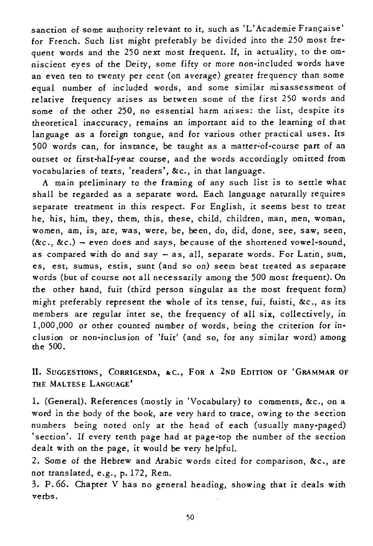sanction of some authority relevant to it, such as 'L'Academie Française' for French. Such list might preferably be divided into the 250 most frequent words and the 250 next most frequent. If, in actuality, to the omniscient eyes of the Deity, some fifty or more non-included words have an even ten to twenty per cent (on average) greater frequency than some equal number of included words, and some similar misassessment of relative frequency arises as between some of the first 250 words and some of the other 250, no essential harm arises: the list, despite its theoretical inaccuracy, remains an important aid to the learning of that language as a foreign tongue, and for various other practical uses. Its 500 words can, for instance, be taught as a matter~of-course part of an outset or first-half-year course, and the words accordingly omitted from vocabularies of texts, 'readers', *&c., in* that language.

A main preliminary to the framing of any such list *is* to settle what shall be regarded as a separate word. Each language naturally requires separate treatment *in this* respect. For English, *it* seems best to treat he, *his,* him, they, them, this, these, child, children, man, men, woman, women, am, *is,* are, was, were, be, been, do, *did,* done, see, saw, seen, *(&c., &c.)* - even does and says, because of the shottened vowel-sound, as compared with do and say - as, all, separate words. For Latin, sum, es, est, sumus, estis, sunt (and so on) seem best treated as separate words (but of course not all necessarily among the 500 most frequent). On the other hand, fuit (third person singular as the most frequent form) might preferably represent the whole of *its* tense, fui, fuisti, *&c.,* as *its*  members are regular inter se, the frequency of all *six,* collectively, in 1,000,000 or other counted number of words, being the criterion for inclusion or non-inclusion of 'fuit' (and so, for any similar word) among the 500.

H. SUGGESTIONS, CORRIGENDA, &C., FOR A 2ND EDITION OF 'GRAMMAR OF THE MALTESE LANGUAGE'

1. (General). References (mostly in 'Vocabulary) to comments, *&c.,* on a word in the body of the book, are very hard to trace, owing to the section numbers being noted only at the head of each (usually many-paged) ·section'. If every tenth page had at page-top the number of the section dealt with on the page, it would be very helpful.

2. Some of the Hebrew and Arabic words cited for comparison, *&c.,* are not translated, e.g., p.172, Rem.

3. p.66. Chapter V has no general heading, showing that *it* deals with verbs.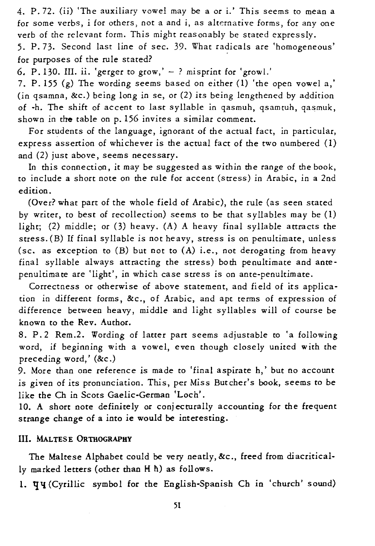4. P. 72. (ii) 'The auxiliary vowel may be a or i.' This seems to mean a for some verbs, i for others, not a and i, as alternative forms, for anyone verb of the relevant form. This might reasonably be stated expressly.

5. P. 73. Second last line of sec. 39. What radicals are 'homogeneous' for purposes of the rule stated?

6. P.130. III. ii. 'gerger to grow,'  $-$  ? misprint for 'growl.'

7. P. 155 (g) The wording seems based on either (1) 'the open vowel a,' (in qsamna, &c.) being long in se, or (2) *its* being lengthened by addition of -h. The shift of accent to last syllable in qasmuh, qsamtuh, qasmuk, shown in the table on p. 156 invites a similar comment.

For students of the language, ignorant of the actual fact, in particular, express assertion of whichever *is* the actual fact of the two numbered (1) and (2) just above, seems necessary.

In this connection, it may be suggested as within the range of the book, to include a short note on the rule for accent (stress) in Arabic, in a 2nd edition.

(Over? what part of the whole field of Arabic), the rule (as seen stated by writer, to best of recollection) seems to be that syllables may be (1) light; (2) middle; or (3) heavy. (A) A heavy final syllable attracts the stress.(B) If final syllable *is* not heavy, stress is on penultimate, unless (sc. as exception to (B) but not to (A) i.e., not derogating from heavy final syllable always attracting the stress) both penultimate and antepenultimate are 'light', *in* which case stress is on ante-penultimate.

Correctness or otherwise of above statement, and field of its application in different forms, &c., of Arabic, and apt terms of expression of difference between heavy, middle and light syllables will of course be known to the Rev. Author.

8. P. 2 Rem.2. Wording of latter part seems adjustable to 'a following word, if beginning with a vowel, even though closely united with the preceding word,' (&c.)

9. More than one reference is made to 'final aspirate h,' but no account is given of its pronunciation. This, per Miss Butcher's book, seems to be like the Ch in Scots Gaelic-German 'Loch'.

10. A short note definitely or conjecturally accounting for the frequent strange change of a into ie would be interesting.

### **Ill.** MALTESE ORTHOGRAPHY

The Maltese Alphabet could be very neatly, &c., freed from diacritically marked letters (other than H h) as follows.

1. **TH** (Cyrillic symbol for the English-Spanish Ch in 'church' sound)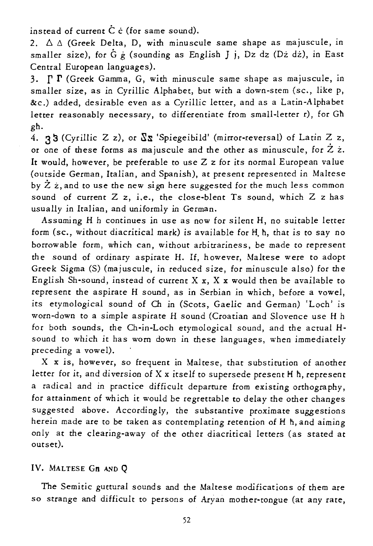instead of current  $\dot{C}$  ċ (for same sound).

2.  $\Delta \Delta$  (Greek Delta, D, with minuscule same shape as majuscule, in smaller size), for G g (sounding as English J j, Dz dz (Dz dz), in East Central European languages).

3.  $\Gamma$   $\Gamma$  (Greek Gamma, G, with minuscule same shape as majuscule, in smaller *size,* as *in Cyrillic* Alphabet, but with a down-stem (sc., *like* p, &c.) added, desirable even as a Cyrillic letter, and as a Latin-Alphabet letter reasonably necessary, to differentiate from small-letter r), for Gh gh.

4. 33 (Cyrillic Z z), or  $\sqrt{\Delta} x$  'Spiegeibild' (mirror-reversal) of Latin Z z, or one of these forms as majuscule and the other as minuscule, for  $\ddot{Z}$   $\dot{z}$ . It would, however, be preferable to use Z z for its normal European value (outside German, Italian, and Spanish), at present represented in Maltese by  $\bar{Z}$  *i*, and to use the new sign here suggested for the much less common sound of current Z z, *i.e.,* the close-blent Ts sound, which Z z has usually *in* Italian, and uniformly in German.

Assnming H h continues *in* use as now for silent H, no suitable letter form (sc., without diacritical mark) *is* available for H. h, that *is* to say no borrowable form, which can, without arbitrariness, be made to represent the sound of ordinary aspirate H. If, however, Maltese were to adopt Greek Sigma (S) (majuscule, in reduced *size,* for minuscule also) for the English Sh-sound, instead of current  $X$  x,  $X$  x would then be available to represent the aspirate H sound, as in Serbian *in* which, before a vowel, *its* etymological sound of Ch in (Scots, *Gaelic* and German) 'Loch' *is*  worn-down to a simple aspirate H sound (Croatian and Slovence use H h for both sounds, the Ch-in-Loch *etymological* sound, and the actual **H**sound to which *it* has worn down in these languages, when immediately preceding a vowel).

X x *is,* however, so frequent *in* Maltese, that substitution of another letter for *it,* and diversion of X x itself to supersede present H h, represent a radical and in practice difficult departure from *existing* orthogra phy, for attainment of which *it* would be regrettable to delay the other changes suggested above. Accordingly, the substantive proximate suggestions herein made are to be taken as contemplating retention of H h, and aiming only at the clearing-away of the other diacritical letters (as stated at outset).

### IV. MALTESE GH AND O

The Semitic guttural sounds and the Maltese modifications of them are so strange and difficult to persons of Aryan mother-tongue (at any rate,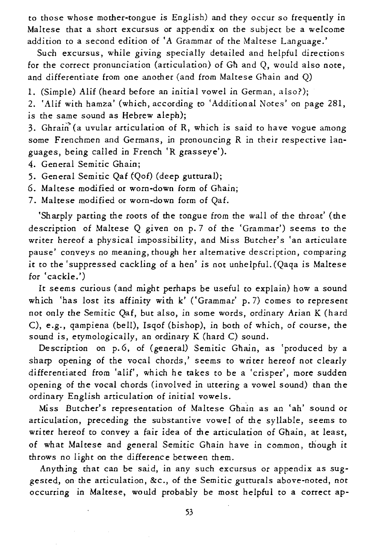to those whose mother-tongue is English) and they occur so frequently in Maltese that a short excursus or appendix on the subject be a welcome addition to a second edition of 'A Grammar of the Maltese Language.'

Such excursus, while giving specially detailed and helpful directions for the correct pronunciation (articulation) of Gh and Q, would also note, and differentiate from one another (and from Maltese Ghain and Q)

1. (Simple) Alif (heard before an initial vowel in German, also?);

*2. 'Alif* with hamza' (which, according to 'Additional Notes' on page 281, is the same sound as Hebrew aleph);

3. Ghrain<sup>®</sup> (a uvular articulation of R, which is said to have vogue among some Frenchmen and Germans, in pronouncing R in their respective languages, being called *in* French 'R grasseye').

4. General Semitic Ghain;

5. General *Semitic* Qaf {Qof) (deep guttural);

6. Maltese modified or worn-down form of Ghain;

7. Maltese modified or worn-down form of Qaf.

'Sharply parting the roots of the tongue from the wall of the throat' (the description of Maltese Q given on p.7 of the 'Grammar') seems to the writer hereof a physical impossibility, and Miss Butcher's 'an articulate pause' conveys no meaning, though her alternative description, comparing it to the 'suppressed cackling of a hen' *is* not unhelpful. (Qaqa *is* Maltese for 'cackle.')

It seems curious (and might perhaps be useful to explain) how a sound which 'has lost its affinity with k' ('Grammar' p.7) comes to represent not only the Semitic Qaf, but also, in some words, ordinary Arian K (hard C), e.g., qampiena (bell), Isqof (bishop), in both of which, of course, the sound *is,* etymologically, an ordinary K (hard C) sound.

Description on p.6, of (general) Semitic Ghain, as 'produced by a sharp opening of the vocal chords,' seems to writer hereof not clearly differentiated from 'alif', which he takes to be a 'crisper', more sudden opening of the vocal chords (involved in uttering a vowel sound) than the ordinary English articulation of initial vowels.

Miss Butcher's representation of Maltese Ghain as an 'ah' sound or articulation, preceding the substantive vowel of the syllable, seems to writer hereof to convey a fair idea of the articulation of Ghain, at least, of what Maltese and general Semitic Ghain have in common, though *it*  throws no light on the difference between them.

Anything that can be said, *in* any such excursus or appendix as suggested, on the *articulation,* &c., of the *Semitic* gutturals above-noted, not occurring in Maltese, would probably be most helpful to a correct ap-

53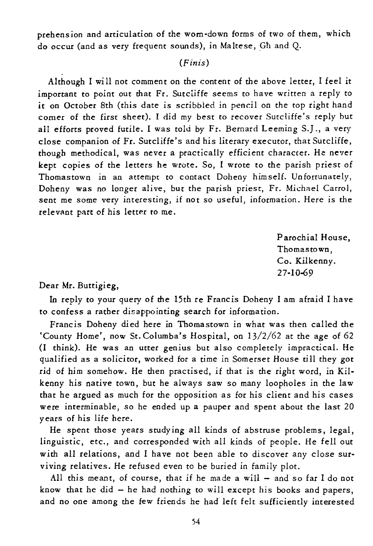prehension and articulation of the worn-down forms of two of them, which do occur (and as very frequent sounds), in Maltese, Gh and Q.

# (Finis)

Although I will not comment on the content of the above letter, I feel *it*  important to point out that Fr. Sutcliffe seems to have written a reply to it on October 8th (this date is scribbled in pencil on the top right hand corner of the first sheet). I did my best to recover Sutcliffe's reply hut all efforts proved futile. I was told by Fr. Bernard Leeming S.J., a very close companion of Fr. Sutcliffe's and his literary executor, that Sutcliffe, though methodical, was never a practically efficient character. He never kept copies of the letters he wrote. So, I wrote to the parish priest of Thomastown in an attempt to contact Doheny himself. Unfortunately, Doheny was no longer alive, but the parish priest, Fr. Michael Carrol, sent me some very interesting, if not so useful, information. Here is the relevant part of his letter to me.

> Parochial House, Thomastown, Co. Kilkenny. 27-10-69

### Dear Mr. Buttigieg,

In reply to your query of the 15th re Francis Doheny I am afraid I have to confess a rather disappointing search for information.

Francis Doheny died here in Thomastown *in* what was then called the 'County Home', now St. Columba's Hospital, on 13/2/62 at the age of 62 (I think). He was an utter genius but also completely impractical. He qualified as a solicitor, worked for a time in Somerset House till they got rid of him somehow. He then practised, if that is the right word, in Kilkenny his native town, but he always saw so many loopholes in the law that he argued as much for the opposition as for his client and his cases were interminable, so he ended up a pauper and spent about the last 20 years of his life here.

He spent those years study ing all kinds of abstruse problems, legal, linguistic, etc., and corresponded with all kinds of people. He fell out with all relations, and I have not been able to discover any close surviving relatives. He refused even to be buried in family plot.

All this meant, of course, that if he made a will  $-$  and so far I do not know that he *did* - he had nothing to will except *his* books and papers, and no one among the few friends he had left felt sufficiently interested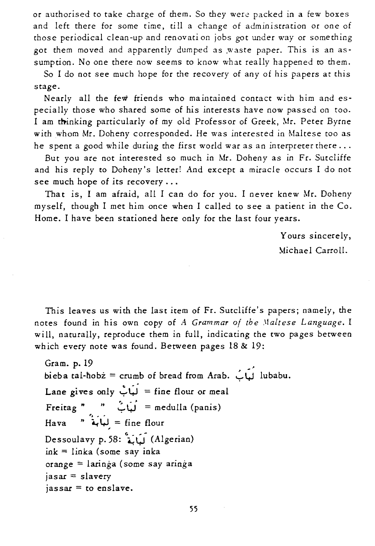or authorised to take charge of them. So they were packed in a few boxes and left there for some time, till a change of administration or one of those periodical clean-up and renovati on jobs got under way or something got them moved and apparently dumped as ,waste paper. This is an assumption. No one there now seems to know what really happened to them.

So I do not see much hope for the recovery of any of his papers at this stage.

Nearly all the few friends who maintained contact with him and especially those who shared some of his interests have now passed on too. I am thinking particularly of my old Professor of Greek, Mr. Peter Byrne with whom Mr. Doheny corresponded. He was interested in Maltese too as he spent a good while during the first world war as an interpreter there  $\dots$ 

But you are not interested so much in Mr. Doheny as in Fr. Sutcliffe and his reply to Doheny's letter! And except a miracle occurs I do not see much hope of its recovery ...

That is, I am afraid, all I can do for you. I never knew Mr. Doheny myself, though I met him once when I called to see a patient in the Co. Home. I have been stationed here only for the last four years.

> Yours sincerely, Michael Carroll.

This leaves us with the last item of Fr. Sutcliffe's papers; namely, the notes found in *his* own copy of *A. Grammar of the .Ilaltese Language.* I will, naturally, reproduce them in full, indicating the two pages between which every note was found. Between pages 18 & 19:

Gram. p. 19 bieba tal-hobz = crumb of bread from Arab.  $\overrightarrow{L}$  lubabu. Lane gives only  $\overrightarrow{L}$  $\overrightarrow{H}$  = fine flour or meal Freitag "  $\therefore$   $\therefore$   $\therefore$  = medulla (panis)  $\frac{3}{4}$ بَابَهُ \*  $\frac{3}{4}$  = fine flour (Algerian) أَيَانَة<sup>'</sup> : Dessoulavy p. 58:  $ink = linka$  (some say inka orange = laringa (some say aringa jasar = slavery  $i$ assar = to enslave.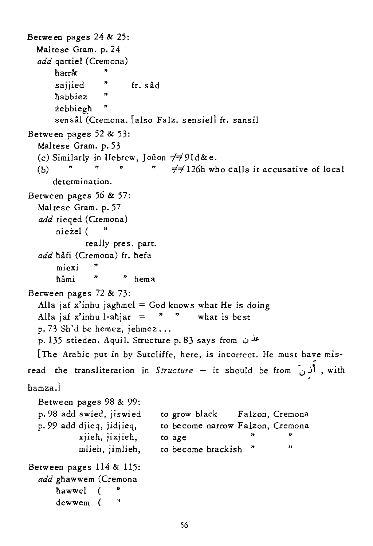```
Between pages 24 & 25: 
  Maltese Gram. p.24 
  add qattiel (Cremona) 
       harrar
       saijied
                    " 
                           fr. sad 
       habbiez 
                    " 
       zebbiegh " 
       sensâl (Cremona. [also Falz. sensiel] fr. sansil
Between pages 52 & 53: 
  Maltese Gram. p.53 
  warese Gram. p. 55<br>(c) Similarly in Hebrew, Joüon \neq \neq 91d& e.<br>(b) """ \neq \neq 126h who calls it accusative of local
  (c) Similarly in Hebrew, Joüon \neq\neq9ld& e.
      determination. 
Between pages 56 & 57: 
  Maltese Gram. p. 57 
  add rieqed (Cremona) 
       niezel ( " 
               really pres. part. 
  add hâfi (Cremona) fr. hefa
       miexi
                 \overline{1}nami " " nema 
Between pages 72 & 73: 
  Alla jaf x'inhu jaghmel = God knows what He is doing
  Alla jaf x'inhu l-ahjar = " what is best
  p. 73 Sh'd be hemez, jehmez ... 
  p. 135 stieden. Aquil. Structure p. 83 says from \omega[The Arabic put in by Sutcliffe, here, is incorrect. He must have mis- - read the transliteration in Structure - it should be from '0 j' , with 
hamza.]
  Between pages 98 & 99: 
  p.98 add swied, jiswied 
                                   to grow black Falzon, Cremona 
  p.99 add djieq, jidjieq, 
                                   to become narrow Falzon, Cremona 
             xjieh, jixjieh, 
                                   to age
             mlieh, jimlieh, 
                                   to become brackish " 
                                                                     " Between pages 114 & 115: 
  add ghawwem (Cremona 
       hawwel (
       dewwem (
```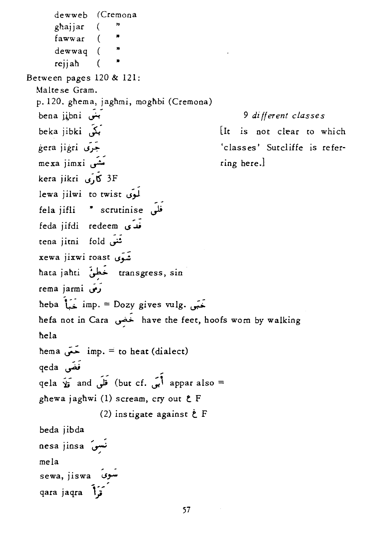dewweb (Cremona ghajjar (<br>fawwar ( dewwaq ( rejjah ( Between pages 120 & 121: Maltese Gram. p. 120. ghema, jaghmi, moghbi (Cremona) .<br>hena jibni س beka jibki ~ gera j igri **u,r':"**  me xa jimxi ... kera jikri 5, U 3F lewa jilwi to twist fela jifli " scrutinise فَلَمَّ feda jifdi redeem سَ tena jitni fold تَنبَى xewa jixwi roast شَوَى nata j anti ~ transgress, sin rema jarmi *(وَفَ*<br>heba  $\overrightarrow{L}$  imp. = Dozy gives vulg. يَحَمَّى 9 di II *erent cLas se* s [It is not clear to which 'classes' Sutcliffe is referring here.] nefa not in Cara ~ have the feet, hoofs worn by walking nela hema  $\bar{em}$  imp. = to heat (dialect) qeda فَغَس<br>qela **أَبَى :**but cf) قَلَى qela <sub>ق</sub>َلاَ appar also = ghewa jaghwi (1) scream, cry out  $E$  F (2) ins tigate against *t* <sup>F</sup> beda jibda nesa jinsa ~ mela sewa, jiswa أسوى qara jaqra **\i**